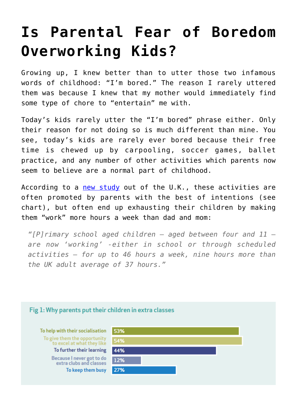## **[Is Parental Fear of Boredom](https://intellectualtakeout.org/2017/01/is-parental-fear-of-boredom-overworking-kids/) [Overworking Kids?](https://intellectualtakeout.org/2017/01/is-parental-fear-of-boredom-overworking-kids/)**

Growing up, I knew better than to utter those two infamous words of childhood: "I'm bored." The reason I rarely uttered them was because I knew that my mother would immediately find some type of chore to "entertain" me with.

Today's kids rarely utter the "I'm bored" phrase either. Only their reason for not doing so is much different than mine. You see, today's kids are rarely ever bored because their free time is chewed up by carpooling, soccer games, ballet practice, and any number of other activities which parents now seem to believe are a normal part of childhood.

According to a [new study](http://blog.centerparcs.co.uk/wp-content/uploads/2017/01/The-Childrens-RDA-for-Free-Time-Report-FINAL-11.01.17.pdf) out of the U.K., these activities are often promoted by parents with the best of intentions (see chart), but often end up exhausting their children by making them "work" more hours a week than dad and mom:

*"[P]rimary school aged children – aged between four and 11 – are now 'working' -either in school or through scheduled activities – for up to 46 hours a week, nine hours more than the UK adult average of 37 hours."*

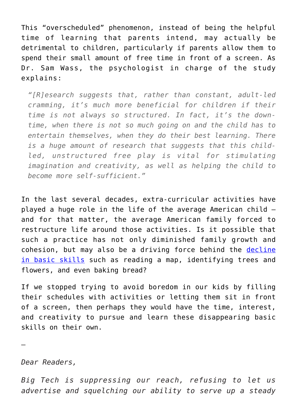This "overscheduled" phenomenon, instead of being the helpful time of learning that parents intend, may actually be detrimental to children, particularly if parents allow them to spend their small amount of free time in front of a screen. As Dr. Sam Wass, the psychologist in charge of the study explains:

*"[R]esearch suggests that, rather than constant, adult-led cramming, it's much more beneficial for children if their time is not always so structured. In fact, it's the downtime, when there is not so much going on and the child has to entertain themselves, when they do their best learning. There is a huge amount of research that suggests that this childled, unstructured free play is vital for stimulating imagination and creativity, as well as helping the child to become more self-sufficient."*

In the last several decades, extra-curricular activities have played a huge role in the life of the average American child – and for that matter, the average American family forced to restructure life around those activities. Is it possible that such a practice has not only diminished family growth and cohesion, but may also be a driving force behind the [decline](https://www.intellectualtakeout.org/blog/are-these-20-basic-skills-danger-extinction) [in basic skills](https://www.intellectualtakeout.org/blog/are-these-20-basic-skills-danger-extinction) such as reading a map, identifying trees and flowers, and even baking bread?

If we stopped trying to avoid boredom in our kids by filling their schedules with activities or letting them sit in front of a screen, then perhaps they would have the time, interest, and creativity to pursue and learn these disappearing basic skills on their own.

—

*Dear Readers,*

*Big Tech is suppressing our reach, refusing to let us advertise and squelching our ability to serve up a steady*